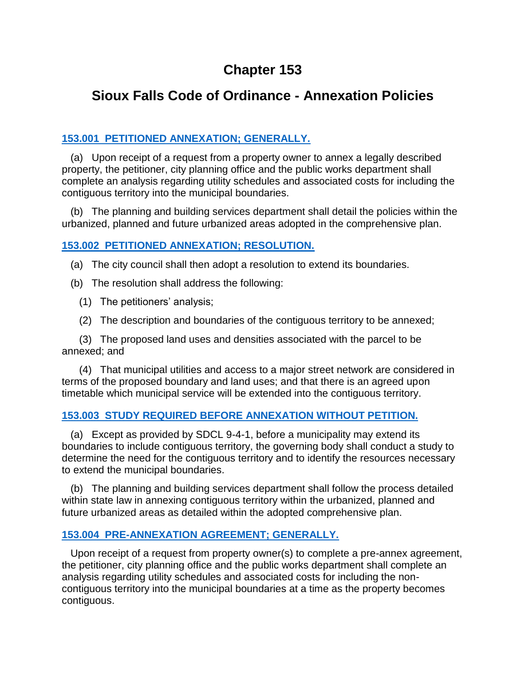# **Chapter 153**

# **Sioux Falls Code of Ordinance - Annexation Policies**

### **153.001 [PETITIONED ANNEXATION; GENERALLY.](http://library.amlegal.com/nxt/gateway.dll/South%20Dakota/siouxfalls_sd/cityofsiouxfallssouthdakotacodeofordinan?f=templates$fn=default.htm$3.0$vid=amlegal:siouxfalls_sd)**

 (a) Upon receipt of a request from a property owner to annex a legally described property, the petitioner, city planning office and the public works department shall complete an analysis regarding utility schedules and associated costs for including the contiguous territory into the municipal boundaries.

 (b) The planning and building services department shall detail the policies within the urbanized, planned and future urbanized areas adopted in the comprehensive plan.

#### **153.002 [PETITIONED ANNEXATION; RESOLUTION.](http://library.amlegal.com/nxt/gateway.dll/South%20Dakota/siouxfalls_sd/cityofsiouxfallssouthdakotacodeofordinan?f=templates$fn=default.htm$3.0$vid=amlegal:siouxfalls_sd)**

(a) The city council shall then adopt a resolution to extend its boundaries.

(b) The resolution shall address the following:

- (1) The petitioners' analysis;
- (2) The description and boundaries of the contiguous territory to be annexed;

 (3) The proposed land uses and densities associated with the parcel to be annexed; and

 (4) That municipal utilities and access to a major street network are considered in terms of the proposed boundary and land uses; and that there is an agreed upon timetable which municipal service will be extended into the contiguous territory.

## **153.003 [STUDY REQUIRED BEFORE ANNEXATION WITHOUT PETITION.](http://library.amlegal.com/nxt/gateway.dll/South%20Dakota/siouxfalls_sd/cityofsiouxfallssouthdakotacodeofordinan?f=templates$fn=default.htm$3.0$vid=amlegal:siouxfalls_sd)**

 (a) Except as provided by SDCL 9-4-1, before a municipality may extend its boundaries to include contiguous territory, the governing body shall conduct a study to determine the need for the contiguous territory and to identify the resources necessary to extend the municipal boundaries.

 (b) The planning and building services department shall follow the process detailed within state law in annexing contiguous territory within the urbanized, planned and future urbanized areas as detailed within the adopted comprehensive plan.

## **153.004 [PRE-ANNEXATION AGREEMENT; GENERALLY.](http://library.amlegal.com/nxt/gateway.dll/South%20Dakota/siouxfalls_sd/cityofsiouxfallssouthdakotacodeofordinan?f=templates$fn=default.htm$3.0$vid=amlegal:siouxfalls_sd)**

 Upon receipt of a request from property owner(s) to complete a pre-annex agreement, the petitioner, city planning office and the public works department shall complete an analysis regarding utility schedules and associated costs for including the noncontiguous territory into the municipal boundaries at a time as the property becomes contiguous.